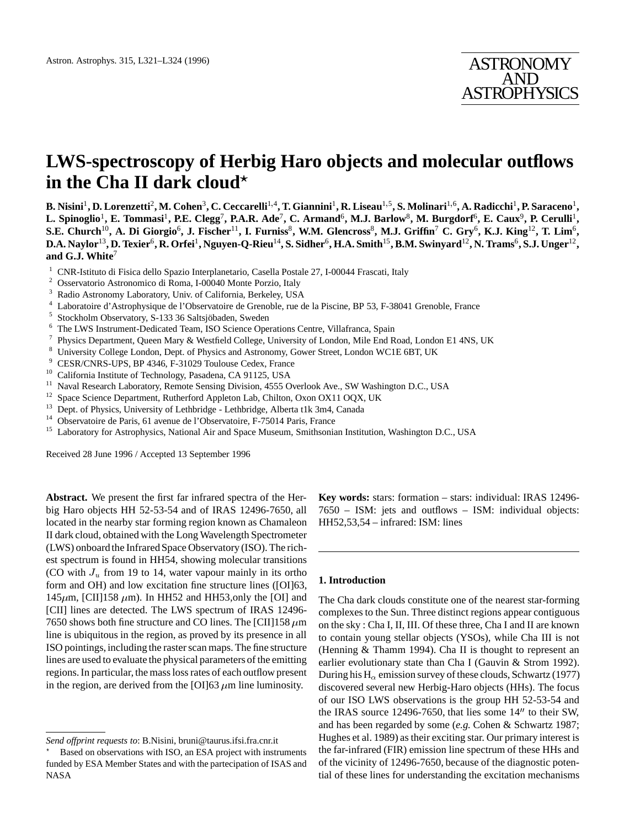# **LWS-spectroscopy of Herbig Haro objects and molecular outflows in the Cha II dark cloud**?

**B. Nisini**<sup>1</sup>**, D. Lorenzetti**<sup>2</sup>**, M. Cohen**<sup>3</sup>**, C. Ceccarelli**<sup>1</sup>;<sup>4</sup>**, T. Giannini**<sup>1</sup>**, R. Liseau**<sup>1</sup>;<sup>5</sup>**, S. Molinari**<sup>1</sup>;<sup>6</sup>**, A. Radicchi**<sup>1</sup>**, P. Saraceno**<sup>1</sup>**, L. Spinoglio**<sup>1</sup>**, E. Tommasi**<sup>1</sup>**, P.E. Clegg**<sup>7</sup>**, P.A.R. Ade**<sup>7</sup>**, C. Armand**<sup>6</sup>**, M.J. Barlow**<sup>8</sup>**, M. Burgdorf**<sup>6</sup>**, E. Caux**<sup>9</sup>**, P. Cerulli**<sup>1</sup>**, S.E. Church**<sup>10</sup>**, A. Di Giorgio**<sup>6</sup>**, J. Fischer**<sup>11</sup>**, I. Furniss**<sup>8</sup>**, W.M. Glencross**<sup>8</sup>**, M.J. Griffin**<sup>7</sup> **C. Gry**<sup>6</sup>**, K.J. King**<sup>12</sup>**, T. Lim**<sup>6</sup>**, D.A. Naylor**<sup>13</sup>**, D. Texier**<sup>6</sup>**, R. Orfei**<sup>1</sup>**, Nguyen-Q-Rieu**<sup>14</sup>**, S. Sidher**<sup>6</sup>**, H.A. Smith**<sup>15</sup>**, B.M. Swinyard**<sup>12</sup>**, N. Trams**<sup>6</sup>**, S.J. Unger**<sup>12</sup>**, and G.J. White**<sup>7</sup>

- <sup>1</sup> CNR-Istituto di Fisica dello Spazio Interplanetario, Casella Postale 27, I-00044 Frascati, Italy <sup>2</sup> Osservatorio Astronomico di Boma L00040 Monte Porzio Italy
- <sup>2</sup> Osservatorio Astronomico di Roma, I-00040 Monte Porzio, Italy  $\frac{3}{10}$  Radio Astronomy I aboratory Univ of California Berkeley USA
- <sup>3</sup> Radio Astronomy Laboratory, Univ. of California, Berkeley, USA<br><sup>4</sup> Laboratoire d'Astronomy de l'Observatoire de Granoble, rue d
- <sup>4</sup> Laboratoire d'Astrophysique de l'Observatoire de Grenoble, rue de la Piscine, BP 53, F-38041 Grenoble, France<br>5 Stockholm Observatory, S.122.26 Seltsjäbeden, Sweden
- <sup>5</sup> Stockholm Observatory, S-133 36 Saltsjobaden, Sweden ¨
- <sup>6</sup> The LWS Instrument-Dedicated Team, ISO Science Operations Centre, Villafranca, Spain  $\frac{7}{4}$  Physics Department, Oyean Mary & Westfield Cellege, University of Landau, Mile End B.
- <sup>7</sup> Physics Department, Queen Mary & Westfield College, University of London, Mile End Road, London E1 4NS, UK
- <sup>8</sup> University College London, Dept. of Physics and Astronomy, Gower Street, London WC1E 6BT, UK
- <sup>9</sup> CESR/CNRS-UPS, BP 4346, F-31029 Toulouse Cedex, France
- <sup>10</sup> California Institute of Technology, Pasadena, CA 91125, USA
- <sup>11</sup> Naval Research Laboratory, Remote Sensing Division, 4555 Overlook Ave., SW Washington D.C., USA
- <sup>12</sup> Space Science Department, Rutherford Appleton Lab, Chilton, Oxon OX11 OQX, UK<br><sup>13</sup> Dept. of Physics, University of Lethbridge Lethbridge, Alberta t. Lk 3m4, Canada
- <sup>13</sup> Dept. of Physics, University of Lethbridge Lethbridge, Alberta t1k 3m4, Canada
- <sup>14</sup> Observatoire de Paris, 61 avenue de l'Observatoire, F-75014 Paris, France<br><sup>15</sup> Laboratory for Astrophysics, National Air and Space Museum, Smithsonic

<sup>15</sup> Laboratory for Astrophysics, National Air and Space Museum, Smithsonian Institution, Washington D.C., USA

Received 28 June 1996 / Accepted 13 September 1996

**Abstract.** We present the first far infrared spectra of the Herbig Haro objects HH 52-53-54 and of IRAS 12496-7650, all located in the nearby star forming region known as Chamaleon II dark cloud, obtained with the Long Wavelength Spectrometer (LWS) onboard the Infrared Space Observatory (ISO). The richest spectrum is found in HH54, showing molecular transitions (CO with  $J_u$  from 19 to 14, water vapour mainly in its ortho form and OH) and low excitation fine structure lines ([OI]63, 145 $\mu$ m, [CII]158  $\mu$ m). In HH52 and HH53,only the [OI] and [CII] lines are detected. The LWS spectrum of IRAS 12496- 7650 shows both fine structure and CO lines. The [CII]158  $\mu$ m line is ubiquitous in the region, as proved by its presence in all ISO pointings, including the raster scan maps. The fine structure lines are used to evaluate the physical parameters of the emitting regions. In particular, the mass loss rates of each outflow present in the region, are derived from the [OI]63  $\mu$ m line luminosity.

**Key words:** stars: formation – stars: individual: IRAS 12496- 7650 – ISM: jets and outflows – ISM: individual objects: HH52,53,54 – infrared: ISM: lines

# **1. Introduction**

The Cha dark clouds constitute one of the nearest star-forming complexes to the Sun. Three distinct regions appear contiguous on the sky : Cha I, II, III. Of these three, Cha I and II are known to contain young stellar objects (YSOs), while Cha III is not (Henning & Thamm 1994). Cha II is thought to represent an earlier evolutionary state than Cha I (Gauvin & Strom 1992). During his H<sub> $\alpha$ </sub> emission survey of these clouds, Schwartz (1977) discovered several new Herbig-Haro objects (HHs). The focus of our ISO LWS observations is the group HH 52-53-54 and the IRAS source 12496-7650, that lies some  $14''$  to their SW, and has been regarded by some (*e.g.* Cohen & Schwartz 1987; Hughes et al. 1989) as their exciting star. Our primary interest is the far-infrared (FIR) emission line spectrum of these HHs and of the vicinity of 12496-7650, because of the diagnostic potential of these lines for understanding the excitation mechanisms

*Send offprint requests to*: B.Nisini, bruni@taurus.ifsi.fra.cnr.it

<sup>?</sup> Based on observations with ISO, an ESA project with instruments funded by ESA Member States and with the partecipation of ISAS and NASA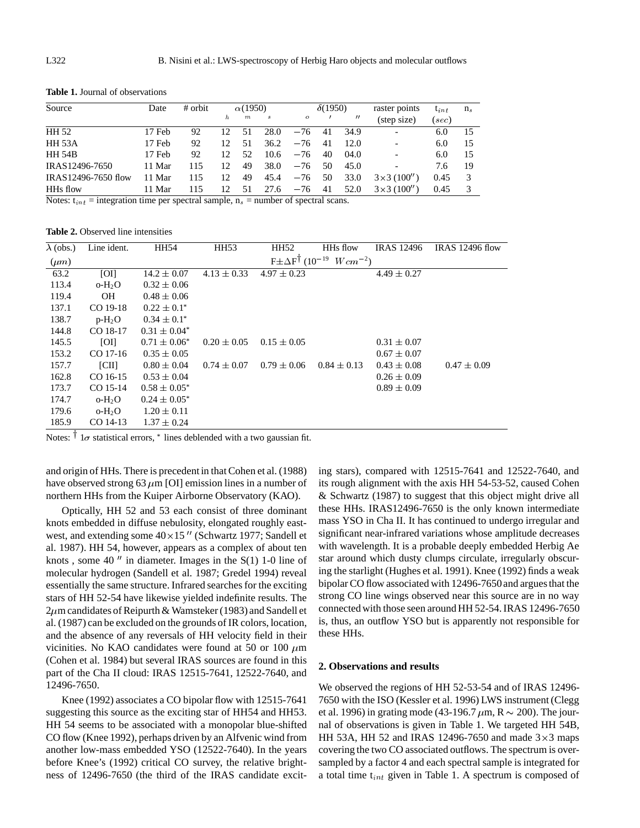| Date   | # orbit |    |                  |      | $\delta(1950)$ |     | raster points     | $t_{int}$                         | n <sub>s</sub> |    |
|--------|---------|----|------------------|------|----------------|-----|-------------------|-----------------------------------|----------------|----|
|        |         | h  | $\boldsymbol{m}$ | s    | $\mathbf{o}$   |     | $^{\prime\prime}$ | (step size)                       | (sec)          |    |
| 17 Feb | 92      | 12 | 51               | 28.0 | $-76$          | 41  | 34.9              | $\overline{\phantom{a}}$          | 6.0            | 15 |
| 17 Feb | 92      | 12 | 51               | 36.2 | $-76$          | 41  | 12.0              | $\overline{\phantom{a}}$          | 6.0            | 15 |
| 17 Feb | 92      | 12 | 52               | 10.6 | $-76$          | 40  | 04.0              |                                   | 6.0            | 15 |
| 11 Mar | 115     | 12 | 49               | 38.0 | $-76$          | 50  | 45.0              |                                   | 7.6            | 19 |
| 11 Mar | 115     | 12 | 49               | 45.4 | $-76$          | 50  | 33.0              | $3 \times 3$ (100 <sup>''</sup> ) | 0.45           | 3  |
| 11 Mar | 115     | 12 | 51               | 27.6 | $-76$          | -41 | 52.0              | $3 \times 3$ (100'')              | 0.45           | 3  |
|        |         |    |                  |      |                |     |                   | $\alpha(1950)$                    |                |    |

**Table 1.** Journal of observations

Notes:  $t_{int}$  = integration time per spectral sample,  $n_s$  = number of spectral scans.

**Table 2.** Observed line intensities

| $\lambda$ (obs.) | Line ident. | <b>HH54</b>       | <b>HH53</b>     | HH52                                            | HH <sub>s</sub> flow | <b>IRAS</b> 12496 | <b>IRAS</b> 12496 flow |
|------------------|-------------|-------------------|-----------------|-------------------------------------------------|----------------------|-------------------|------------------------|
| $(\mu m)$        |             |                   |                 | $F \pm \Delta F^{\dagger}$ (10 <sup>-19</sup> ) | $Wcm^{-2}$           |                   |                        |
| 63.2             | [O]         | $14.2 \pm 0.07$   | $4.13 \pm 0.33$ | $4.97 \pm 0.23$                                 |                      | $4.49 \pm 0.27$   |                        |
| 113.4            | $o-H2O$     | $0.32 \pm 0.06$   |                 |                                                 |                      |                   |                        |
| 119.4            | <b>OH</b>   | $0.48 \pm 0.06$   |                 |                                                 |                      |                   |                        |
| 137.1            | CO 19-18    | $0.22 \pm 0.1^*$  |                 |                                                 |                      |                   |                        |
| 138.7            | $p-H_2O$    | $0.34 \pm 0.1^*$  |                 |                                                 |                      |                   |                        |
| 144.8            | CO 18-17    | $0.31 \pm 0.04^*$ |                 |                                                 |                      |                   |                        |
| 145.5            | [O]         | $0.71 \pm 0.06^*$ | $0.20 \pm 0.05$ | $0.15 \pm 0.05$                                 |                      | $0.31 \pm 0.07$   |                        |
| 153.2            | CO 17-16    | $0.35 \pm 0.05$   |                 |                                                 |                      | $0.67 \pm 0.07$   |                        |
| 157.7            | CII         | $0.80 \pm 0.04$   | $0.74 \pm 0.07$ | $0.79 \pm 0.06$                                 | $0.84 \pm 0.13$      | $0.43 \pm 0.08$   | $0.47 \pm 0.09$        |
| 162.8            | CO 16-15    | $0.53 \pm 0.04$   |                 |                                                 |                      | $0.26 \pm 0.09$   |                        |
| 173.7            | CO 15-14    | $0.58 \pm 0.05^*$ |                 |                                                 |                      | $0.89 \pm 0.09$   |                        |
| 174.7            | $o-H2O$     | $0.24 \pm 0.05^*$ |                 |                                                 |                      |                   |                        |
| 179.6            | $o-H2O$     | $1.20 \pm 0.11$   |                 |                                                 |                      |                   |                        |
| 185.9            | CO 14-13    | $1.37 \pm 0.24$   |                 |                                                 |                      |                   |                        |
| 工                |             |                   |                 |                                                 |                      |                   |                        |

Notes:  $\frac{1}{\sigma}$  statistical errors,  $*$  lines deblended with a two gaussian fit.

and origin of HHs. There is precedent in that Cohen et al. (1988) have observed strong 63  $\mu$ m [OI] emission lines in a number of northern HHs from the Kuiper Airborne Observatory (KAO).

Optically, HH 52 and 53 each consist of three dominant knots embedded in diffuse nebulosity, elongated roughly eastwest, and extending some  $40 \times 15$  " (Schwartz 1977; Sandell et al. 1987). HH 54, however, appears as a complex of about ten knots, some 40" in diameter. Images in the  $S(1)$  1-0 line of molecular hydrogen (Sandell et al. 1987; Gredel 1994) reveal essentially the same structure. Infrared searches for the exciting stars of HH 52-54 have likewise yielded indefinite results. The  $2\mu$ m candidates of Reipurth & Wamsteker (1983) and Sandell et al. (1987) can be excluded on the grounds of IR colors, location, and the absence of any reversals of HH velocity field in their vicinities. No KAO candidates were found at 50 or 100  $\mu$ m (Cohen et al. 1984) but several IRAS sources are found in this part of the Cha II cloud: IRAS 12515-7641, 12522-7640, and 12496-7650.

Knee (1992) associates a CO bipolar flow with 12515-7641 suggesting this source as the exciting star of HH54 and HH53. HH 54 seems to be associated with a monopolar blue-shifted CO flow (Knee 1992), perhaps driven by an Alfvenic wind from another low-mass embedded YSO (12522-7640). In the years before Knee's (1992) critical CO survey, the relative brightness of 12496-7650 (the third of the IRAS candidate exciting stars), compared with 12515-7641 and 12522-7640, and its rough alignment with the axis HH 54-53-52, caused Cohen & Schwartz (1987) to suggest that this object might drive all these HHs. IRAS12496-7650 is the only known intermediate mass YSO in Cha II. It has continued to undergo irregular and significant near-infrared variations whose amplitude decreases with wavelength. It is a probable deeply embedded Herbig Ae star around which dusty clumps circulate, irregularly obscuring the starlight (Hughes et al. 1991). Knee (1992) finds a weak bipolar CO flow associated with 12496-7650and argues that the strong CO line wings observed near this source are in no way connected with those seen around HH 52-54. IRAS 12496-7650 is, thus, an outflow YSO but is apparently not responsible for these HHs.

#### **2. Observations and results**

We observed the regions of HH 52-53-54 and of IRAS 12496- 7650 with the ISO (Kessler et al. 1996) LWS instrument (Clegg et al. 1996) in grating mode (43-196.7  $\mu$ m, R  $\sim$  200). The journal of observations is given in Table 1. We targeted HH 54B, HH 53A, HH 52 and IRAS 12496-7650 and made  $3 \times 3$  maps covering the two CO associated outflows. The spectrum is oversampled by a factor 4 and each spectral sample is integrated for a total time  $t_{int}$  given in Table 1. A spectrum is composed of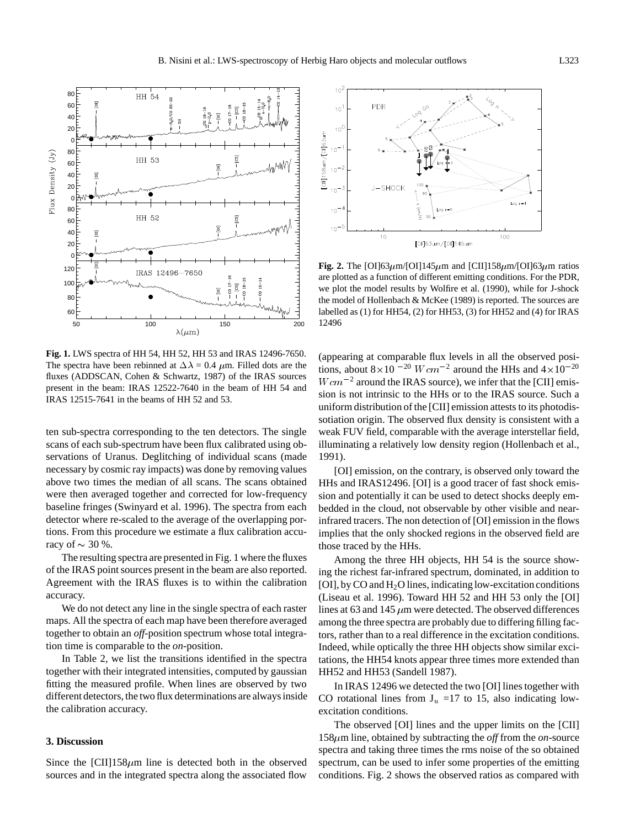

**Fig. 1.** LWS spectra of HH 54, HH 52, HH 53 and IRAS 12496-7650. The spectra have been rebinned at  $\Delta \lambda = 0.4$   $\mu$ m. Filled dots are the fluxes (ADDSCAN, Cohen & Schwartz, 1987) of the IRAS sources present in the beam: IRAS 12522-7640 in the beam of HH 54 and IRAS 12515-7641 in the beams of HH 52 and 53.

ten sub-spectra corresponding to the ten detectors. The single scans of each sub-spectrum have been flux calibrated using observations of Uranus. Deglitching of individual scans (made necessary by cosmic ray impacts) was done by removing values above two times the median of all scans. The scans obtained were then averaged together and corrected for low-frequency baseline fringes (Swinyard et al. 1996). The spectra from each detector where re-scaled to the average of the overlapping portions. From this procedure we estimate a flux calibration accuracy of  $\sim$  30 %.

The resulting spectra are presented in Fig. 1 where the fluxes of the IRAS point sources present in the beam are also reported. Agreement with the IRAS fluxes is to within the calibration accuracy.

We do not detect any line in the single spectra of each raster maps. All the spectra of each map have been therefore averaged together to obtain an *off*-position spectrum whose total integration time is comparable to the *on*-position.

In Table 2, we list the transitions identified in the spectra together with their integrated intensities, computed by gaussian fitting the measured profile. When lines are observed by two different detectors, the two flux determinations are always inside the calibration accuracy.

### **3. Discussion**

Since the  $\text{[CII]}$ 158 $\mu$ m line is detected both in the observed sources and in the integrated spectra along the associated flow



**Fig. 2.** The [OI]63 $\mu$ m/[OI]145 $\mu$ m and [CII]158 $\mu$ m/[OI]63 $\mu$ m ratios are plotted as a function of different emitting conditions. For the PDR, we plot the model results by Wolfire et al. (1990), while for J-shock the model of Hollenbach & McKee (1989) is reported. The sources are labelled as (1) for HH54, (2) for HH53, (3) for HH52 and (4) for IRAS 12496

(appearing at comparable flux levels in all the observed positions, about  $8 \times 10^{-20}$   $W \, \text{cm}^{-2}$  around the HHs and  $4 \times 10^{-20}$  $W \, \text{cm}^{-2}$  around the IRAS source), we infer that the [CII] emission is not intrinsic to the HHs or to the IRAS source. Such a uniform distribution of the [CII] emission attests to its photodissotiation origin. The observed flux density is consistent with a weak FUV field, comparable with the average interstellar field, illuminating a relatively low density region (Hollenbach et al., 1991).

[OI] emission, on the contrary, is observed only toward the HHs and IRAS12496. [OI] is a good tracer of fast shock emission and potentially it can be used to detect shocks deeply embedded in the cloud, not observable by other visible and nearinfrared tracers. The non detection of [OI] emission in the flows implies that the only shocked regions in the observed field are those traced by the HHs.

Among the three HH objects, HH 54 is the source showing the richest far-infrared spectrum, dominated, in addition to [OI], by CO and H2O lines, indicating low-excitation conditions (Liseau et al. 1996). Toward HH 52 and HH 53 only the [OI] lines at 63 and 145  $\mu$ m were detected. The observed differences among the three spectra are probably due to differing filling factors, rather than to a real difference in the excitation conditions. Indeed, while optically the three HH objects show similar excitations, the HH54 knots appear three times more extended than HH52 and HH53 (Sandell 1987).

In IRAS 12496 we detected the two [OI] lines together with CO rotational lines from  $J_u$  =17 to 15, also indicating lowexcitation conditions.

The observed [OI] lines and the upper limits on the [CII]  $158\mu$ m line, obtained by subtracting the *off* from the *on*-source spectra and taking three times the rms noise of the so obtained spectrum, can be used to infer some properties of the emitting conditions. Fig. 2 shows the observed ratios as compared with